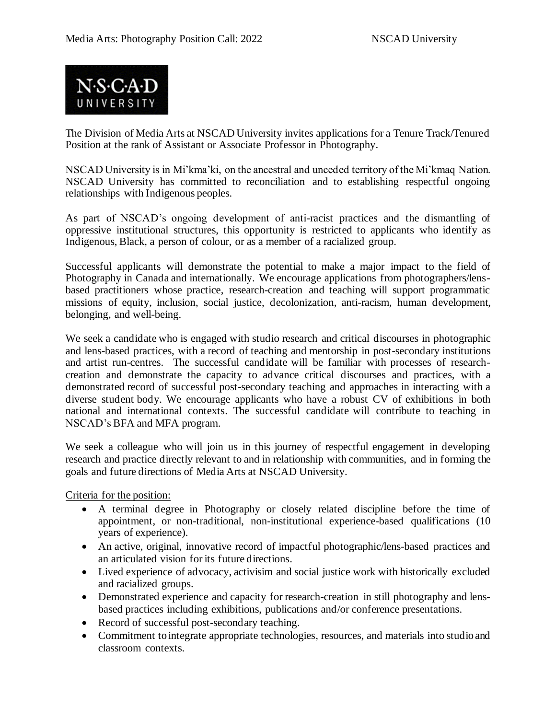

The Division of Media Arts at NSCAD University invites applications for a Tenure Track/Tenured Position at the rank of Assistant or Associate Professor in Photography.

NSCAD University is in Mi'kma'ki, on the ancestral and unceded territory of the Mi'kmaq Nation. NSCAD University has committed to reconciliation and to establishing respectful ongoing relationships with Indigenous peoples.

As part of NSCAD's ongoing development of anti-racist practices and the dismantling of oppressive institutional structures, this opportunity is restricted to applicants who identify as Indigenous, Black, a person of colour, or as a member of a racialized group.

Successful applicants will demonstrate the potential to make a major impact to the field of Photography in Canada and internationally. We encourage applications from photographers/lensbased practitioners whose practice, research-creation and teaching will support programmatic missions of equity, inclusion, social justice, decolonization, anti-racism, human development, belonging, and well-being.

We seek a candidate who is engaged with studio research and critical discourses in photographic and lens-based practices, with a record of teaching and mentorship in post-secondary institutions and artist run-centres. The successful candidate will be familiar with processes of researchcreation and demonstrate the capacity to advance critical discourses and practices, with a demonstrated record of successful post-secondary teaching and approaches in interacting with a diverse student body. We encourage applicants who have a robust CV of exhibitions in both national and international contexts. The successful candidate will contribute to teaching in NSCAD's BFA and MFA program.

We seek a colleague who will join us in this journey of respectful engagement in developing research and practice directly relevant to and in relationship with communities, and in forming the goals and future directions of Media Arts at NSCAD University.

Criteria for the position:

- A terminal degree in Photography or closely related discipline before the time of appointment, or non-traditional, non-institutional experience-based qualifications (10 years of experience).
- An active, original, innovative record of impactful photographic/lens-based practices and an articulated vision for its future directions.
- Lived experience of advocacy, activisim and social justice work with historically excluded and racialized groups.
- Demonstrated experience and capacity for research-creation in still photography and lensbased practices including exhibitions, publications and/or conference presentations.
- Record of successful post-secondary teaching.
- Commitment to integrate appropriate technologies, resources, and materials into studio and classroom contexts.